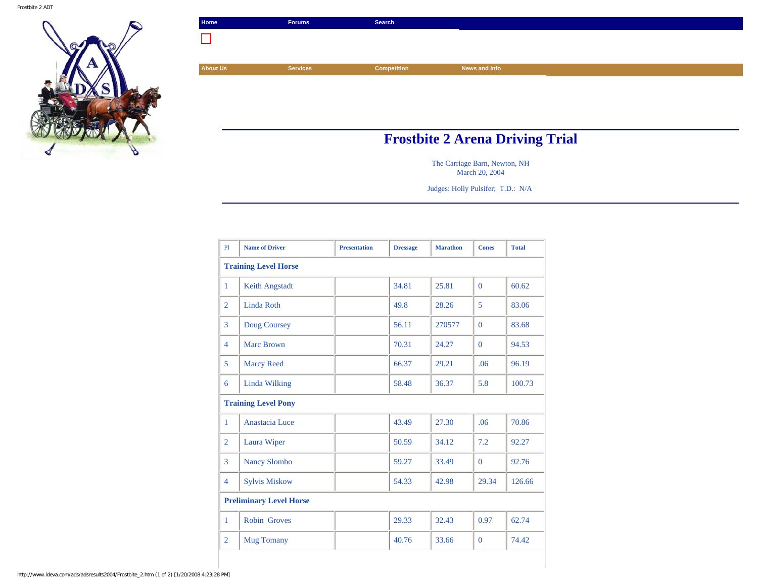

| Home                                   | <b>Forums</b>   | Search      |               |  |  |
|----------------------------------------|-----------------|-------------|---------------|--|--|
|                                        |                 |             |               |  |  |
|                                        |                 |             |               |  |  |
| <b>About Us</b>                        | <b>Services</b> | Competition | News and Info |  |  |
|                                        |                 |             |               |  |  |
|                                        |                 |             |               |  |  |
|                                        |                 |             |               |  |  |
|                                        |                 |             |               |  |  |
| <b>Frosthite 2 Arena Driving Trial</b> |                 |             |               |  |  |

## **Frostbite 2 Arena Driving Trial**

The Carriage Barn, Newton, NH March 20, 2004

Judges: Holly Pulsifer; T.D.: N/A

| P1                             | <b>Name of Driver</b> | <b>Presentation</b> | <b>Dressage</b> | <b>Marathon</b> | <b>Cones</b>   | <b>Total</b> |  |  |
|--------------------------------|-----------------------|---------------------|-----------------|-----------------|----------------|--------------|--|--|
| <b>Training Level Horse</b>    |                       |                     |                 |                 |                |              |  |  |
| $\mathbf{1}$                   | <b>Keith Angstadt</b> |                     | 34.81           | 25.81           | $\Omega$       | 60.62        |  |  |
| $\overline{2}$                 | Linda Roth            |                     | 49.8            | 28.26           | $\overline{5}$ | 83.06        |  |  |
| 3                              | Doug Coursey          |                     | 56.11           | 270577          | $\mathbf{0}$   | 83.68        |  |  |
| $\overline{4}$                 | <b>Marc Brown</b>     |                     | 70.31           | 24.27           | $\Omega$       | 94.53        |  |  |
| 5                              | <b>Marcy Reed</b>     |                     | 66.37           | 29.21           | .06            | 96.19        |  |  |
| 6                              | Linda Wilking         |                     | 58.48           | 36.37           | 5.8            | 100.73       |  |  |
| <b>Training Level Pony</b>     |                       |                     |                 |                 |                |              |  |  |
| $\mathbf{1}$                   | Anastacia Luce        |                     | 43.49           | 27.30           | .06            | 70.86        |  |  |
| $\overline{2}$                 | Laura Wiper           |                     | 50.59           | 34.12           | 7.2            | 92.27        |  |  |
| 3                              | <b>Nancy Slombo</b>   |                     | 59.27           | 33.49           | $\Omega$       | 92.76        |  |  |
| $\overline{4}$                 | <b>Sylvis Miskow</b>  |                     | 54.33           | 42.98           | 29.34          | 126.66       |  |  |
| <b>Preliminary Level Horse</b> |                       |                     |                 |                 |                |              |  |  |
| $\mathbf{1}$                   | <b>Robin Groves</b>   |                     | 29.33           | 32.43           | 0.97           | 62.74        |  |  |
| $\overline{2}$                 | <b>Mug Tomany</b>     |                     | 40.76           | 33.66           | $\overline{0}$ | 74.42        |  |  |